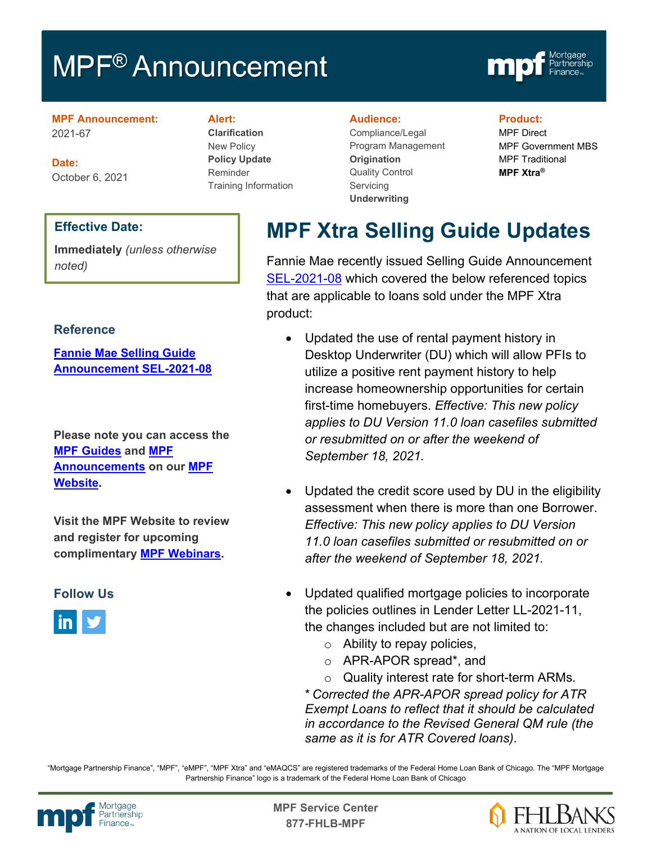# **MPF<sup>®</sup> Announcement**



#### **MPF Announcement:** 2021-67

**Date:** October 6, 2021

#### **Alert:**

**Clarification** New Policy **Policy Update** Reminder Training Information

#### **Audience:**

Compliance/Legal Program Management **Origination**  Quality Control **Servicing Underwriting**

#### **Product:**

MPF Direct MPF Government MBS MPF Traditional **MPF Xtra®**

#### **Effective Date:**

**Immediately** *(unless otherwise noted)*

#### **Reference**

**[Fannie Mae Selling Guide](https://singlefamily.fanniemae.com/media/28876/display)  [Announcement SEL-2021-08](https://singlefamily.fanniemae.com/media/28876/display)**

**Please note you can access the [MPF Guides](https://fhlbmpf.com/mpf-guides/guides) and [MPF](https://fhlbmpf.com/mpf-guides/announcements)  [Announcements](https://fhlbmpf.com/mpf-guides/announcements) on our [MPF](https://fhlbmpf.com/)  [Website.](https://fhlbmpf.com/)** 

**Visit the MPF Website to review and register for upcoming complimentary [MPF Webinars.](https://www.fhlbmpf.com/education/upcoming-webinars)**

### **Follow Us**



**MPF Xtra Selling Guide Updates** 

Fannie Mae recently issued Selling Guide Announcement [SEL-2021-08](https://singlefamily.fanniemae.com/media/28876/display) which covered the below referenced topics that are applicable to loans sold under the MPF Xtra product:

- Updated the use of rental payment history in Desktop Underwriter (DU) which will allow PFIs to utilize a positive rent payment history to help increase homeownership opportunities for certain first-time homebuyers. *Effective: This new policy applies to DU Version 11.0 loan casefiles submitted or resubmitted on or after the weekend of September 18, 2021.*
- Updated the credit score used by DU in the eligibility assessment when there is more than one Borrower. *Effective: This new policy applies to DU Version 11.0 loan casefiles submitted or resubmitted on or after the weekend of September 18, 2021.*
- Updated qualified mortgage policies to incorporate the policies outlines in Lender Letter LL-2021-11, the changes included but are not limited to:
	- o Ability to repay policies,
	- o APR-APOR spread\*, and
	- o Quality interest rate for short-term ARMs*.*

\* *Corrected the APR-APOR spread policy for ATR Exempt Loans to reflect that it should be calculated in accordance to the Revised General QM rule (the same as it is for ATR Covered loans).*

"Mortgage Partnership Finance", "MPF", "eMPF", "MPF Xtra" and "eMAQCS" are registered trademarks of the Federal Home Loan Bank of Chicago. The "MPF Mortgage Partnership Finance" logo is a trademark of the Federal Home Loan Bank of Chicago



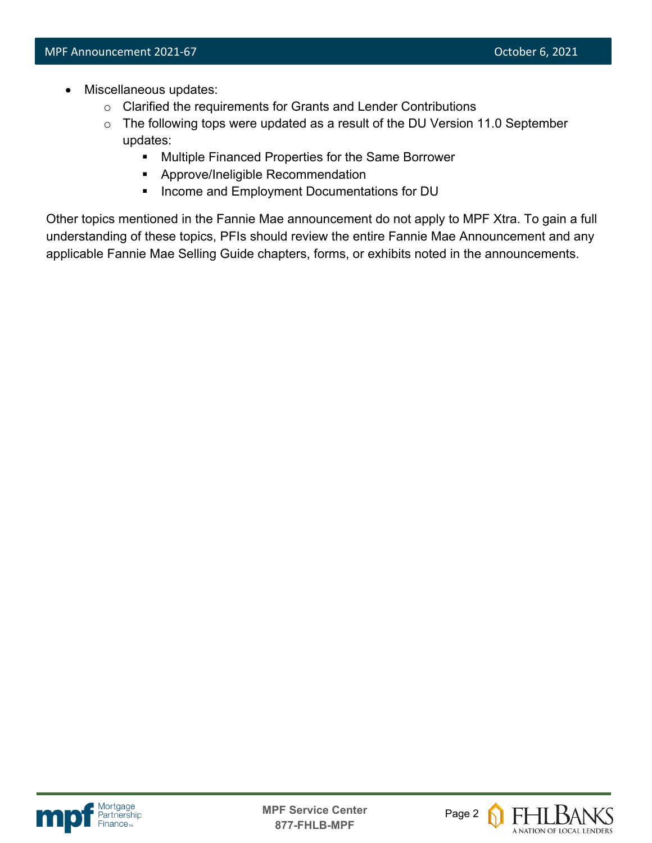- Miscellaneous updates:
	- o Clarified the requirements for Grants and Lender Contributions
	- $\circ$  The following tops were updated as a result of the DU Version 11.0 September updates:
		- **Multiple Financed Properties for the Same Borrower**
		- **Approve/Ineligible Recommendation**
		- **Income and Employment Documentations for DU**

Other topics mentioned in the Fannie Mae announcement do not apply to MPF Xtra. To gain a full understanding of these topics, PFIs should review the entire Fannie Mae Announcement and any applicable Fannie Mae Selling Guide chapters, forms, or exhibits noted in the announcements.



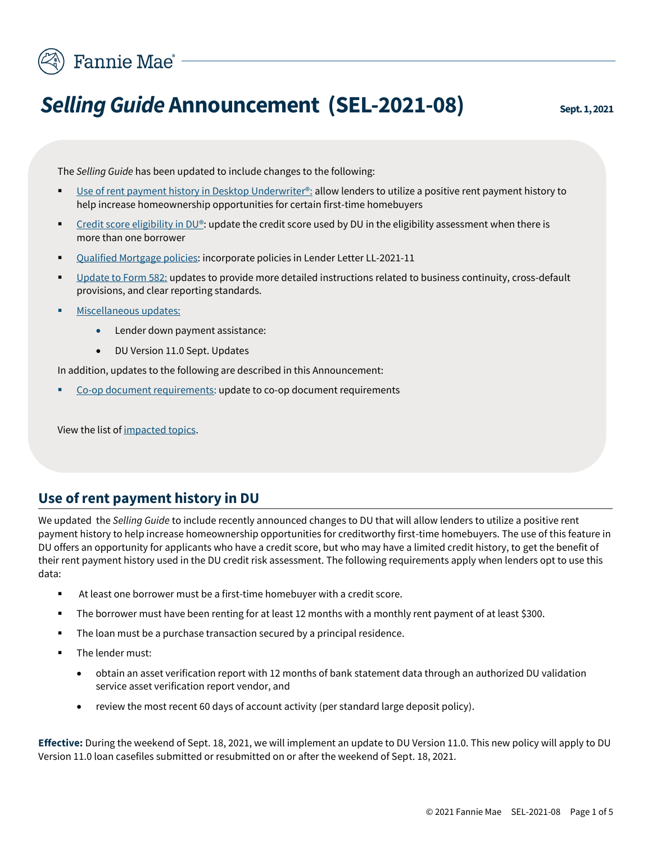

# **Selling Guide Announcement (SEL-2021-08)** Sept.1,2021

The *Selling Guide* has been updated to include changes to the following:

- [Use of rent payment history in Desktop Underwriter®:](#page-2-0) allow lenders to utilize a positive rent payment history to help increase homeownership opportunities for certain first-time homebuyers
- [Credit score eligibility in DU®:](#page-3-0) update the credit score used by DU in the eligibility assessment when there is more than one borrower
- Oualified Mortgage policies: incorporate policies in Lender Letter LL-2021-11
- [Update to Form 582:](#page-4-0) updates to provide more detailed instructions related to business continuity, cross-default provisions, and clear reporting standards.
- [Miscellaneous updates:](#page-5-0)
	- Lender down payment assistance:
	- DU Version 11.0 Sept. Updates

In addition, updates to the following are described in this Announcement:

[Co-op document requirements:](#page-4-1) update to co-op document requirements

View the list of [impacted topics.](#page-2-0)

### <span id="page-2-0"></span>**Use of rent payment history in DU**

We updated the *Selling Guide* to include recently announced changes to DU that will allow lenders to utilize a positive rent payment history to help increase homeownership opportunities for creditworthy first-time homebuyers. The use of this feature in DU offers an opportunity for applicants who have a credit score, but who may have a limited credit history, to get the benefit of their rent payment history used in the DU credit risk assessment. The following requirements apply when lenders opt to use this data:

- At least one borrower must be a first-time homebuyer with a credit score.
- The borrower must have been renting for at least 12 months with a monthly rent payment of at least \$300.
- The loan must be a purchase transaction secured by a principal residence.
- The lender must:
	- obtain an asset verification report with 12 months of bank statement data through an authorized DU validation service asset verification report vendor, and
	- review the most recent 60 days of account activity (per standard large deposit policy).

**Effective:** During the weekend of Sept. 18, 2021, we will implement an update to DU Version 11.0. This new policy will apply to DU Version 11.0 loan casefiles submitted or resubmitted on or after the weekend of Sept. 18, 2021.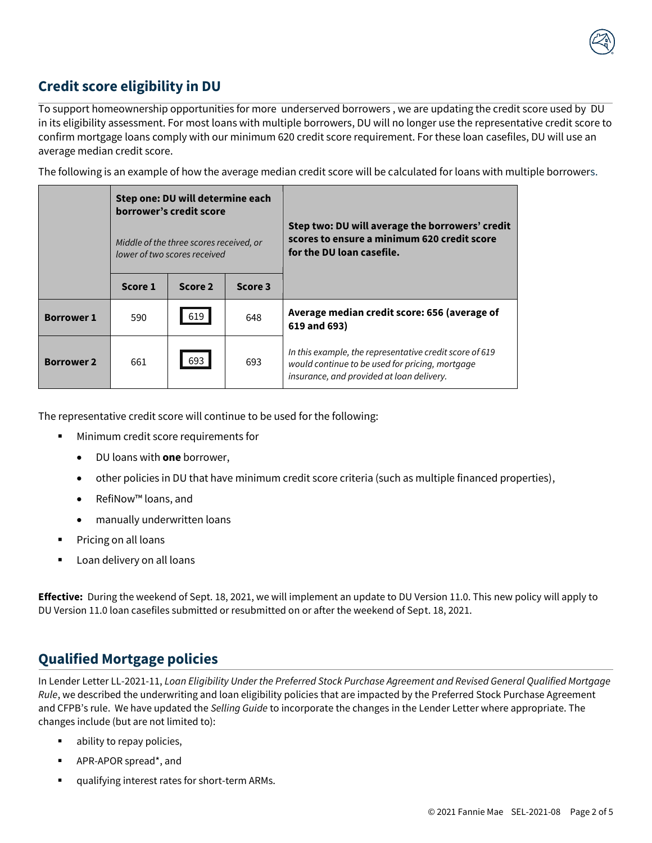

# <span id="page-3-0"></span>**Credit score eligibility in DU**

To support homeownership opportunities for more underserved borrowers , we are updating the credit score used by DU in its eligibility assessment. For most loans with multiple borrowers, DU will no longer use the representative credit score to confirm mortgage loans comply with our minimum 620 credit score requirement. For these loan casefiles, DU will use an average median credit score.

The following is an example of how the average median credit score will be calculated for loans with multiple borrowers.

|                   | Step one: DU will determine each<br>borrower's credit score<br>Middle of the three scores received, or<br>lower of two scores received |         |         | Step two: DU will average the borrowers' credit<br>scores to ensure a minimum 620 credit score<br>for the DU loan casefile.                             |
|-------------------|----------------------------------------------------------------------------------------------------------------------------------------|---------|---------|---------------------------------------------------------------------------------------------------------------------------------------------------------|
|                   | Score 1                                                                                                                                | Score 2 | Score 3 |                                                                                                                                                         |
| <b>Borrower 1</b> | 590                                                                                                                                    | 619     | 648     | Average median credit score: 656 (average of<br>619 and 693)                                                                                            |
| <b>Borrower 2</b> | 661                                                                                                                                    | 693     | 693     | In this example, the representative credit score of 619<br>would continue to be used for pricing, mortgage<br>insurance, and provided at loan delivery. |

The representative credit score will continue to be used for the following:

- Minimum credit score requirements for
	- DU loans with **one** borrower,
	- other policies in DU that have minimum credit score criteria (such as multiple financed properties),
	- RefiNow™ loans, and
	- manually underwritten loans
- Pricing on all loans
- Loan delivery on all loans

**Effective:** During the weekend of Sept. 18, 2021, we will implement an update to DU Version 11.0. This new policy will apply to DU Version 11.0 loan casefiles submitted or resubmitted on or after the weekend of Sept. 18, 2021.

## **Qualified Mortgage policies**

<span id="page-3-1"></span>In Lender Letter LL-2021-11, *Loan Eligibility Under the Preferred Stock Purchase Agreement and Revised General Qualified Mortgage Rule*, we described the underwriting and loan eligibility policies that are impacted by the Preferred Stock Purchase Agreement and CFPB's rule. We have updated the *Selling Guide* to incorporate the changes in the Lender Letter where appropriate. The changes include (but are not limited to):

- ability to repay policies,
- APR-APOR spread\*, and
- qualifying interest rates for short-term ARMs.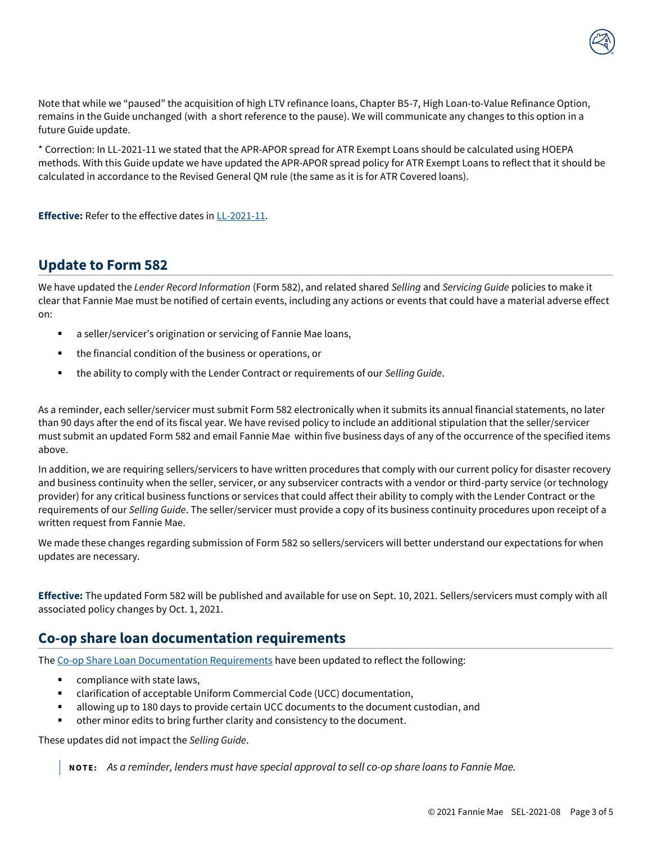Note that while we "paused" the acquisition of high LTV refinance loans, Chapter B5-7, High Loan-to-Value Refinance Option, remains in the Guide unchanged (with a short reference to the pause). We will communicate any changes to this option in a future Guide update.

\* Correction: In LL-2021-11 we stated that the APR-APOR spread for ATR Exempt Loans should be calculated using HOEPA methods. With this Guide update we have updated the APR-APOR spread policy for ATR Exempt Loans to reflect that it should be calculated in accordance to the Revised General QM rule (the same as it is for ATR Covered loans).

**Effective:** Refer to the effective dates i[n LL-2021-11.](https://singlefamily.fanniemae.com/news-events/lender-letter-ll-2021-11-loan-eligibility-qualified-mortgage-rule)

#### **Update to Form 582**

<span id="page-4-0"></span>We have updated the *Lender Record Information* (Form 582), and related shared *Selling* and *Servicing Guide* policies to make it clear that Fannie Mae must be notified of certain events, including any actions or events that could have a material adverse effect on:

- a seller/servicer's origination or servicing of Fannie Mae loans,
- the financial condition of the business or operations, or
- the ability to comply with the Lender Contract or requirements of our *Selling Guide*.

As a reminder, each seller/servicer must submit Form 582 electronically when it submits its annual financial statements, no later than 90 days after the end of its fiscal year. We have revised policy to include an additional stipulation that the seller/servicer must submit an updated Form 582 and email Fannie Mae within five business days of any of the occurrence of the specified items above.

In addition, we are requiring sellers/servicers to have written procedures that comply with our current policy for disaster recovery and business continuity when the seller, servicer, or any subservicer contracts with a vendor or third-party service (or technology provider) for any critical business functions or services that could affect their ability to comply with the Lender Contract or the requirements of our *Selling Guide*. The seller/servicer must provide a copy of its business continuity procedures upon receipt of a written request from Fannie Mae.

We made these changes regarding submission of Form 582 so sellers/servicers will better understand our expectations for when updates are necessary.

**Effective:** The updated Form 582 will be published and available for use on Sept. 10, 2021. Sellers/servicers must comply with all associated policy changes by Oct. 1, 2021.

# <span id="page-4-1"></span>**Co-op share loan documentation requirements**

The [Co-op Share Loan Documentation Requirements](https://singlefamily.fanniemae.com/media/document/pdf/co-op-share-loan-documentation-requirements) have been updated to reflect the following:

- compliance with state laws,
- clarification of acceptable Uniform Commercial Code (UCC) documentation,
- allowing up to 180 days to provide certain UCC documents to the document custodian, and
- other minor edits to bring further clarity and consistency to the document.

These updates did not impact the *Selling Guide*.

**N O T E :** *As a reminder, lenders must have special approval to sell co-op share loans to Fannie Mae.*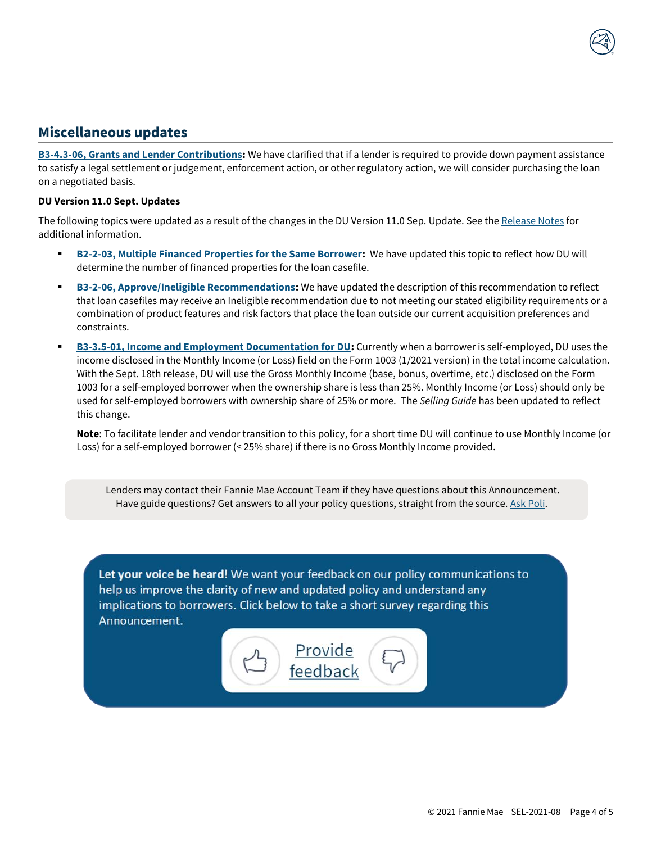### <span id="page-5-0"></span>**Miscellaneous updates**

**[B3-4.3-06, Grants and Lender Contributions:](https://singlefamily.fanniemae.com/media/document/pdf/selling-guide-september-1-2021#page=429)** We have clarified that if a lender is required to provide down payment assistance to satisfy a legal settlement or judgement, enforcement action, or other regulatory action, we will consider purchasing the loan on a negotiated basis.

#### **DU Version 11.0 Sept. Updates**

The following topics were updated as a result of the changes in the DU Version 11.0 Sep. Update. See th[e Release Notes](https://singlefamily.fanniemae.com/media/document/pdf/du-v-11-release-sept-18-2021) for additional information.

- **[B2-2-03, Multiple Financed Properties for the Same Borrower:](https://singlefamily.fanniemae.com/media/document/pdf/selling-guide-september-1-2021#page=242)** We have updated this topic to reflect how DU will determine the number of financed properties for the loan casefile.
- **[B3-2-06, Approve/Ineligible Recommendations:](https://singlefamily.fanniemae.com/media/document/pdf/selling-guide-september-1-2021#page=305)** We have updated the description of this recommendation to reflect that loan casefiles may receive an Ineligible recommendation due to not meeting our stated eligibility requirements or a combination of product features and risk factors that place the loan outside our current acquisition preferences and constraints.
- **[B3-3.5-01, Income and Employment Documentation for DU:](https://singlefamily.fanniemae.com/media/document/pdf/selling-guide-september-1-2021#page=391)** Currently when a borrower is self-employed, DU uses the income disclosed in the Monthly Income (or Loss) field on the Form 1003 (1/2021 version) in the total income calculation. With the Sept. 18th release, DU will use the Gross Monthly Income (base, bonus, overtime, etc.) disclosed on the Form 1003 for a self-employed borrower when the ownership share is less than 25%. Monthly Income (or Loss) should only be used for self-employed borrowers with ownership share of 25% or more. The *Selling Guide* has been updated to reflect this change.

**Note**: To facilitate lender and vendor transition to this policy, for a short time DU will continue to use Monthly Income (or Loss) for a self-employed borrower (< 25% share) if there is no Gross Monthly Income provided.

Lenders may contact their Fannie Mae Account Team if they have questions about this Announcement. Have guide questions? Get answers to all your policy questions, straight from the source[. Ask Poli.](https://askpoli.fanniemae.com/?guideType=Seller&_ga=2.213443604.1603156932.1588165002-936014707.1588165002)

Let your voice be heard! We want your feedback on our policy communications to help us improve the clarity of new and updated policy and understand any implications to borrowers. Click below to take a short survey regarding this Announcement.